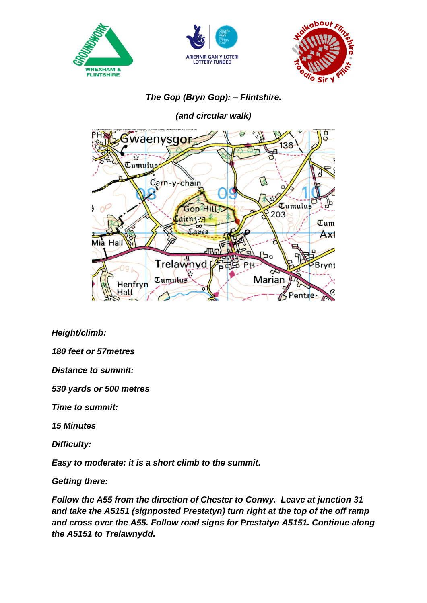





## *The Gop (Bryn Gop): – Flintshire.*

*(and circular walk)*



*Height/climb:*

*180 feet or 57metres*

*Distance to summit:* 

*530 yards or 500 metres*

*Time to summit:*

*15 Minutes*

*Difficulty:* 

*Easy to moderate: it is a short climb to the summit.*

*Getting there:*

*Follow the A55 from the direction of Chester to Conwy. Leave at junction 31 and take the A5151 (signposted Prestatyn) turn right at the top of the off ramp and cross over the A55. Follow road signs for Prestatyn A5151. Continue along the A5151 to Trelawnydd.*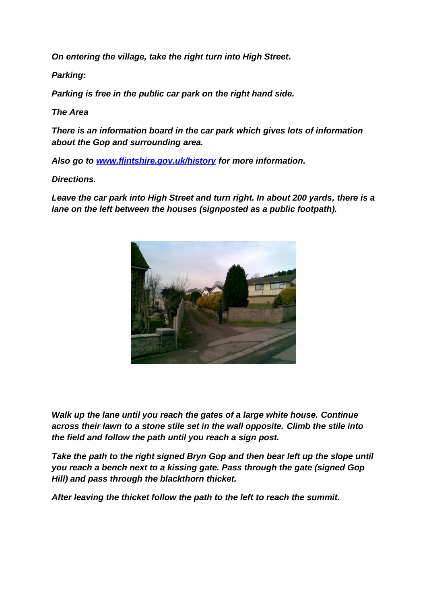*On entering the village, take the right turn into High Street.*

*Parking:*

*Parking is free in the public car park on the right hand side.*

*The Area*

*There is an information board in the car park which gives lots of information about the Gop and surrounding area.*

*Also go to [www.flintshire.gov.uk/history](http://www.flintshire.gov.uk/history) for more information.*

*Directions.*

Leave the car park into High Street and turn right. In about 200 yards, there is a *lane on the left between the houses (signposted as a public footpath).*



*Walk up the lane until you reach the gates of a large white house. Continue across their lawn to a stone stile set in the wall opposite. Climb the stile into the field and follow the path until you reach a sign post.*

*Take the path to the right signed Bryn Gop and then bear left up the slope until you reach a bench next to a kissing gate. Pass through the gate (signed Gop Hill) and pass through the blackthorn thicket.*

*After leaving the thicket follow the path to the left to reach the summit.*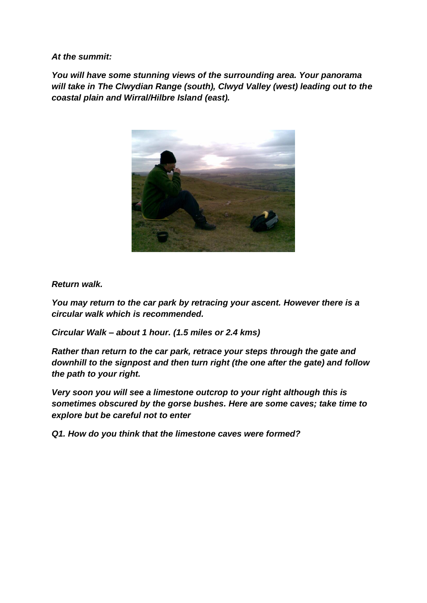*At the summit:*

*You will have some stunning views of the surrounding area. Your panorama will take in The Clwydian Range (south), Clwyd Valley (west) leading out to the coastal plain and Wirral/Hilbre Island (east).*



## *Return walk.*

*You may return to the car park by retracing your ascent. However there is a circular walk which is recommended.*

*Circular Walk – about 1 hour. (1.5 miles or 2.4 kms)*

*Rather than return to the car park, retrace your steps through the gate and downhill to the signpost and then turn right (the one after the gate) and follow the path to your right.*

*Very soon you will see a limestone outcrop to your right although this is sometimes obscured by the gorse bushes. Here are some caves; take time to explore but be careful not to enter*

*Q1. How do you think that the limestone caves were formed?*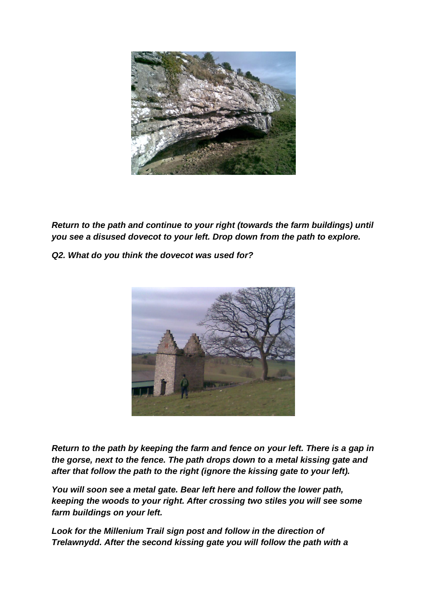

*Return to the path and continue to your right (towards the farm buildings) until you see a disused dovecot to your left. Drop down from the path to explore.*

*Q2. What do you think the dovecot was used for?*



*Return to the path by keeping the farm and fence on your left. There is a gap in the gorse, next to the fence. The path drops down to a metal kissing gate and after that follow the path to the right (ignore the kissing gate to your left).*

*You will soon see a metal gate. Bear left here and follow the lower path, keeping the woods to your right. After crossing two stiles you will see some farm buildings on your left.*

*Look for the Millenium Trail sign post and follow in the direction of Trelawnydd. After the second kissing gate you will follow the path with a*